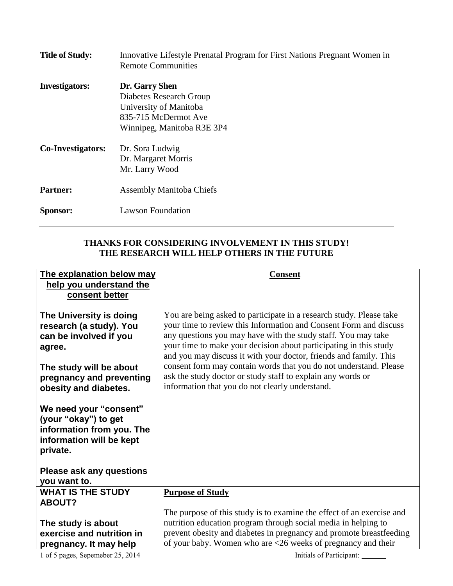| <b>Title of Study:</b>   | Innovative Lifestyle Prenatal Program for First Nations Pregnant Women in<br><b>Remote Communities</b>                    |
|--------------------------|---------------------------------------------------------------------------------------------------------------------------|
| <b>Investigators:</b>    | Dr. Garry Shen<br>Diabetes Research Group<br>University of Manitoba<br>835-715 McDermot Ave<br>Winnipeg, Manitoba R3E 3P4 |
| <b>Co-Investigators:</b> | Dr. Sora Ludwig<br>Dr. Margaret Morris<br>Mr. Larry Wood                                                                  |
| <b>Partner:</b>          | <b>Assembly Manitoba Chiefs</b>                                                                                           |
| <b>Sponsor:</b>          | <b>Lawson Foundation</b>                                                                                                  |

## **THANKS FOR CONSIDERING INVOLVEMENT IN THIS STUDY! THE RESEARCH WILL HELP OTHERS IN THE FUTURE**

| The explanation below may       | <b>Consent</b>                                                        |
|---------------------------------|-----------------------------------------------------------------------|
| help you understand the         |                                                                       |
| consent better                  |                                                                       |
|                                 |                                                                       |
| The University is doing         | You are being asked to participate in a research study. Please take   |
| research (a study). You         | your time to review this Information and Consent Form and discuss     |
| can be involved if you          | any questions you may have with the study staff. You may take         |
| agree.                          | your time to make your decision about participating in this study     |
|                                 | and you may discuss it with your doctor, friends and family. This     |
| The study will be about         | consent form may contain words that you do not understand. Please     |
| pregnancy and preventing        | ask the study doctor or study staff to explain any words or           |
| obesity and diabetes.           | information that you do not clearly understand.                       |
|                                 |                                                                       |
| We need your "consent"          |                                                                       |
| (your "okay") to get            |                                                                       |
| information from you. The       |                                                                       |
| information will be kept        |                                                                       |
| private.                        |                                                                       |
|                                 |                                                                       |
| <b>Please ask any questions</b> |                                                                       |
|                                 |                                                                       |
| you want to.                    |                                                                       |
| <b>WHAT IS THE STUDY</b>        | <b>Purpose of Study</b>                                               |
| <b>ABOUT?</b>                   |                                                                       |
|                                 | The purpose of this study is to examine the effect of an exercise and |
| The study is about              | nutrition education program through social media in helping to        |
| exercise and nutrition in       | prevent obesity and diabetes in pregnancy and promote breastfeeding   |
| pregnancy. It may help          | of your baby. Women who are <26 weeks of pregnancy and their          |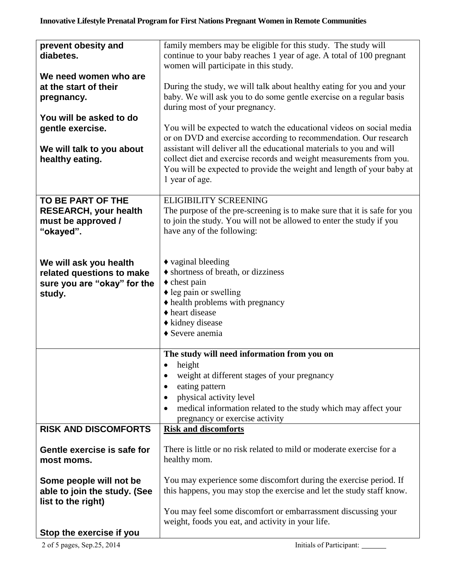## **Innovative Lifestyle Prenatal Program for First Nations Pregnant Women in Remote Communities**

| prevent obesity and<br>diabetes.                                                             | family members may be eligible for this study. The study will<br>continue to your baby reaches 1 year of age. A total of 100 pregnant<br>women will participate in this study.                                                                                                                                                                                                     |
|----------------------------------------------------------------------------------------------|------------------------------------------------------------------------------------------------------------------------------------------------------------------------------------------------------------------------------------------------------------------------------------------------------------------------------------------------------------------------------------|
| We need women who are<br>at the start of their<br>pregnancy.                                 | During the study, we will talk about healthy eating for you and your<br>baby. We will ask you to do some gentle exercise on a regular basis<br>during most of your pregnancy.                                                                                                                                                                                                      |
| You will be asked to do<br>gentle exercise.<br>We will talk to you about<br>healthy eating.  | You will be expected to watch the educational videos on social media<br>or on DVD and exercise according to recommendation. Our research<br>assistant will deliver all the educational materials to you and will<br>collect diet and exercise records and weight measurements from you.<br>You will be expected to provide the weight and length of your baby at<br>1 year of age. |
| TO BE PART OF THE<br><b>RESEARCH, your health</b><br>must be approved /<br>"okayed".         | <b>ELIGIBILITY SCREENING</b><br>The purpose of the pre-screening is to make sure that it is safe for you<br>to join the study. You will not be allowed to enter the study if you<br>have any of the following:                                                                                                                                                                     |
| We will ask you health<br>related questions to make<br>sure you are "okay" for the<br>study. | $\triangle$ vaginal bleeding<br>♦ shortness of breath, or dizziness<br>$\triangle$ chest pain<br>$\triangle$ leg pain or swelling<br>• health problems with pregnancy<br>◆ heart disease<br>◆ kidney disease<br>◆ Severe anemia                                                                                                                                                    |
|                                                                                              | The study will need information from you on<br>height<br>$\bullet$<br>weight at different stages of your pregnancy<br>$\bullet$<br>eating pattern<br>physical activity level<br>$\bullet$<br>medical information related to the study which may affect your<br>pregnancy or exercise activity                                                                                      |
| <b>RISK AND DISCOMFORTS</b>                                                                  | <b>Risk and discomforts</b>                                                                                                                                                                                                                                                                                                                                                        |
| Gentle exercise is safe for<br>most moms.                                                    | There is little or no risk related to mild or moderate exercise for a<br>healthy mom.                                                                                                                                                                                                                                                                                              |
| Some people will not be<br>able to join the study. (See<br>list to the right)                | You may experience some discomfort during the exercise period. If<br>this happens, you may stop the exercise and let the study staff know.                                                                                                                                                                                                                                         |
| Stop the exercise if you                                                                     | You may feel some discomfort or embarrassment discussing your<br>weight, foods you eat, and activity in your life.                                                                                                                                                                                                                                                                 |
| 2 of 5 pages, Sep.25, 2014                                                                   | Initials of Participant:                                                                                                                                                                                                                                                                                                                                                           |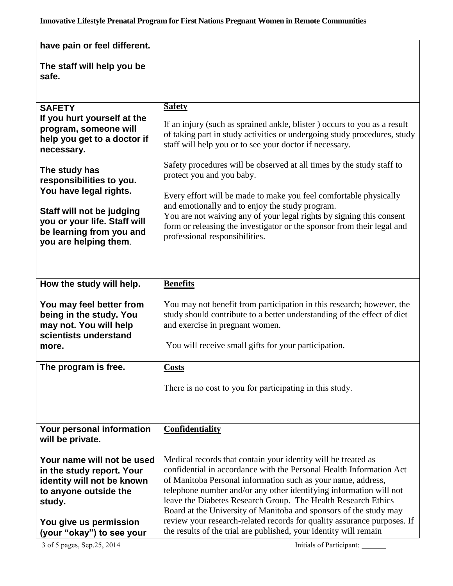| have pain or feel different.                                                                                                                       |                                                                                                                                                                                                                                                                                                                                                                                                                                                                                             |
|----------------------------------------------------------------------------------------------------------------------------------------------------|---------------------------------------------------------------------------------------------------------------------------------------------------------------------------------------------------------------------------------------------------------------------------------------------------------------------------------------------------------------------------------------------------------------------------------------------------------------------------------------------|
| The staff will help you be<br>safe.                                                                                                                |                                                                                                                                                                                                                                                                                                                                                                                                                                                                                             |
| <b>SAFETY</b>                                                                                                                                      | <b>Safety</b>                                                                                                                                                                                                                                                                                                                                                                                                                                                                               |
| If you hurt yourself at the<br>program, someone will<br>help you get to a doctor if<br>necessary.                                                  | If an injury (such as sprained ankle, blister) occurs to you as a result<br>of taking part in study activities or undergoing study procedures, study<br>staff will help you or to see your doctor if necessary.                                                                                                                                                                                                                                                                             |
| The study has<br>responsibilities to you.<br>You have legal rights.                                                                                | Safety procedures will be observed at all times by the study staff to<br>protect you and you baby.<br>Every effort will be made to make you feel comfortable physically                                                                                                                                                                                                                                                                                                                     |
| Staff will not be judging<br>you or your life. Staff will<br>be learning from you and<br>you are helping them.                                     | and emotionally and to enjoy the study program.<br>You are not waiving any of your legal rights by signing this consent<br>form or releasing the investigator or the sponsor from their legal and<br>professional responsibilities.                                                                                                                                                                                                                                                         |
| How the study will help.                                                                                                                           | <b>Benefits</b>                                                                                                                                                                                                                                                                                                                                                                                                                                                                             |
| You may feel better from<br>being in the study. You<br>may not. You will help<br>scientists understand<br>more.                                    | You may not benefit from participation in this research; however, the<br>study should contribute to a better understanding of the effect of diet<br>and exercise in pregnant women.<br>You will receive small gifts for your participation.                                                                                                                                                                                                                                                 |
|                                                                                                                                                    |                                                                                                                                                                                                                                                                                                                                                                                                                                                                                             |
| The program is free.                                                                                                                               | <b>Costs</b>                                                                                                                                                                                                                                                                                                                                                                                                                                                                                |
|                                                                                                                                                    | There is no cost to you for participating in this study.                                                                                                                                                                                                                                                                                                                                                                                                                                    |
| Your personal information<br>will be private.                                                                                                      | <b>Confidentiality</b>                                                                                                                                                                                                                                                                                                                                                                                                                                                                      |
| Your name will not be used<br>in the study report. Your<br>identity will not be known<br>to anyone outside the<br>study.<br>You give us permission | Medical records that contain your identity will be treated as<br>confidential in accordance with the Personal Health Information Act<br>of Manitoba Personal information such as your name, address,<br>telephone number and/or any other identifying information will not<br>leave the Diabetes Research Group. The Health Research Ethics<br>Board at the University of Manitoba and sponsors of the study may<br>review your research-related records for quality assurance purposes. If |
| (your "okay") to see your<br>3 of 5 pages, Sep.25, 2014                                                                                            | the results of the trial are published, your identity will remain<br>Initials of Participant:                                                                                                                                                                                                                                                                                                                                                                                               |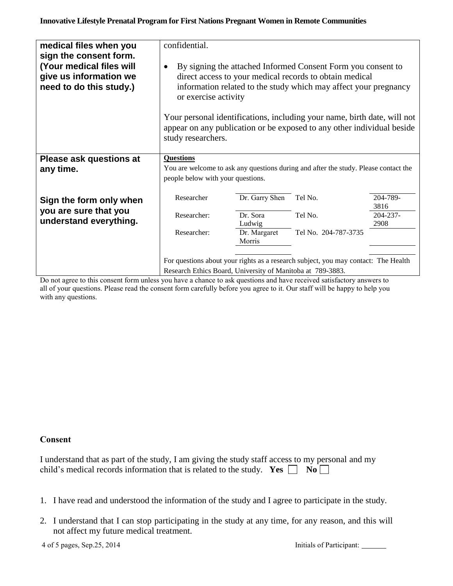| medical files when you<br>sign the consent form.<br>(Your medical files will<br>give us information we<br>need to do this study.) | confidential.<br>By signing the attached Informed Consent Form you consent to<br>direct access to your medical records to obtain medical<br>information related to the study which may affect your pregnancy<br>or exercise activity |                |                      |               |  |
|-----------------------------------------------------------------------------------------------------------------------------------|--------------------------------------------------------------------------------------------------------------------------------------------------------------------------------------------------------------------------------------|----------------|----------------------|---------------|--|
|                                                                                                                                   | Your personal identifications, including your name, birth date, will not<br>appear on any publication or be exposed to any other individual beside<br>study researchers.                                                             |                |                      |               |  |
| <b>Please ask questions at</b>                                                                                                    | <b>Questions</b>                                                                                                                                                                                                                     |                |                      |               |  |
| any time.                                                                                                                         | You are welcome to ask any questions during and after the study. Please contact the                                                                                                                                                  |                |                      |               |  |
|                                                                                                                                   | people below with your questions.                                                                                                                                                                                                    |                |                      |               |  |
|                                                                                                                                   | Researcher                                                                                                                                                                                                                           | Dr. Garry Shen | Tel No.              | 204-789-      |  |
| Sign the form only when                                                                                                           |                                                                                                                                                                                                                                      |                |                      | 3816          |  |
| you are sure that you                                                                                                             | Researcher:                                                                                                                                                                                                                          | Dr. Sora       | Tel No.              | $204 - 237 -$ |  |
| understand everything.                                                                                                            |                                                                                                                                                                                                                                      | Ludwig         |                      | 2908          |  |
|                                                                                                                                   | Researcher:                                                                                                                                                                                                                          | Dr. Margaret   | Tel No. 204-787-3735 |               |  |
|                                                                                                                                   |                                                                                                                                                                                                                                      | Morris         |                      |               |  |
| For questions about your rights as a research subject, you may contact: The Health                                                |                                                                                                                                                                                                                                      |                |                      |               |  |
|                                                                                                                                   | Research Ethics Board, University of Manitoba at 789-3883.                                                                                                                                                                           |                |                      |               |  |

Do not agree to this consent form unless you have a chance to ask questions and have received satisfactory answers to all of your questions. Please read the consent form carefully before you agree to it. Our staff will be happy to help you with any questions.

## **Consent**

| I understand that as part of the study, I am giving the study staff access to my personal and my |  |
|--------------------------------------------------------------------------------------------------|--|
| child's medical records information that is related to the study. Yes $\Box$ No $\Box$           |  |

- 1. I have read and understood the information of the study and I agree to participate in the study.
- 2. I understand that I can stop participating in the study at any time, for any reason, and this will not affect my future medical treatment.